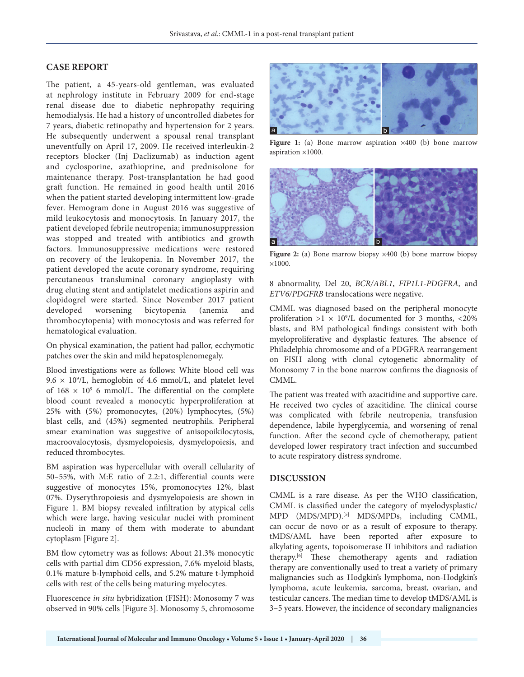## **CASE REPORT**

The patient, a 45-years-old gentleman, was evaluated at nephrology institute in February 2009 for end-stage renal disease due to diabetic nephropathy requiring hemodialysis. He had a history of uncontrolled diabetes for 7 years, diabetic retinopathy and hypertension for 2 years. He subsequently underwent a spousal renal transplant uneventfully on April 17, 2009. He received interleukin-2 receptors blocker (Inj Daclizumab) as induction agent and cyclosporine, azathioprine, and prednisolone for maintenance therapy. Post-transplantation he had good graft function. He remained in good health until 2016 when the patient started developing intermittent low-grade fever. Hemogram done in August 2016 was suggestive of mild leukocytosis and monocytosis. In January 2017, the patient developed febrile neutropenia; immunosuppression was stopped and treated with antibiotics and growth factors. Immunosuppressive medications were restored on recovery of the leukopenia. In November 2017, the patient developed the acute coronary syndrome, requiring percutaneous transluminal coronary angioplasty with drug eluting stent and antiplatelet medications aspirin and clopidogrel were started. Since November 2017 patient developed worsening bicytopenia (anemia and thrombocytopenia) with monocytosis and was referred for hematological evaluation.

On physical examination, the patient had pallor, ecchymotic patches over the skin and mild hepatosplenomegaly.

Blood investigations were as follows: White blood cell was  $9.6 \times 10^9$ /L, hemoglobin of 4.6 mmol/L, and platelet level of  $168 \times 10^9$  6 mmol/L. The differential on the complete blood count revealed a monocytic hyperproliferation at 25% with (5%) promonocytes, (20%) lymphocytes, (5%) blast cells, and (45%) segmented neutrophils. Peripheral smear examination was suggestive of anisopoikilocytosis, macroovalocytosis, dysmyelopoiesis, dysmyelopoiesis, and reduced thrombocytes.

BM aspiration was hypercellular with overall cellularity of 50–55%, with M:E ratio of 2.2:1, differential counts were suggestive of monocytes 15%, promonocytes 12%, blast 07%. Dyserythropoiesis and dysmyelopoiesis are shown in Figure 1. BM biopsy revealed infiltration by atypical cells which were large, having vesicular nuclei with prominent nucleoli in many of them with moderate to abundant cytoplasm [Figure 2].

BM flow cytometry was as follows: About 21.3% monocytic cells with partial dim CD56 expression, 7.6% myeloid blasts, 0.1% mature b-lymphoid cells, and 5.2% mature t-lymphoid cells with rest of the cells being maturing myelocytes.

Fluorescence *in situ* hybridization (FISH): Monosomy 7 was observed in 90% cells [Figure 3]. Monosomy 5, chromosome



**Figure 1:** (a) Bone marrow aspiration  $\times$ 400 (b) bone marrow aspiration ×1000.



**Figure 2:** (a) Bone marrow biopsy  $\times$ 400 (b) bone marrow biopsy ×1000.

8 abnormality, Del 20, *BCR/ABL1*, *FIP1L1-PDGFRA,* and *ETV6/PDGFRB* translocations were negative.

CMML was diagnosed based on the peripheral monocyte proliferation  $>1 \times 10^9$ /L documented for 3 months, <20% blasts, and BM pathological findings consistent with both myeloproliferative and dysplastic features. The absence of Philadelphia chromosome and of a PDGFRA rearrangement on FISH along with clonal cytogenetic abnormality of Monosomy 7 in the bone marrow confirms the diagnosis of CMML.

The patient was treated with azacitidine and supportive care. He received two cycles of azacitidine. The clinical course was complicated with febrile neutropenia, transfusion dependence, labile hyperglycemia, and worsening of renal function. After the second cycle of chemotherapy, patient developed lower respiratory tract infection and succumbed to acute respiratory distress syndrome.

## **DISCUSSION**

CMML is a rare disease. As per the WHO classification, CMML is classified under the category of myelodysplastic/ MPD (MDS/MPD).[5] MDS/MPDs, including CMML, can occur de novo or as a result of exposure to therapy. tMDS/AML have been reported after exposure to alkylating agents, topoisomerase II inhibitors and radiation therapy.[6] These chemotherapy agents and radiation therapy are conventionally used to treat a variety of primary malignancies such as Hodgkin's lymphoma, non-Hodgkin's lymphoma, acute leukemia, sarcoma, breast, ovarian, and testicular cancers. The median time to develop tMDS/AML is 3–5 years. However, the incidence of secondary malignancies